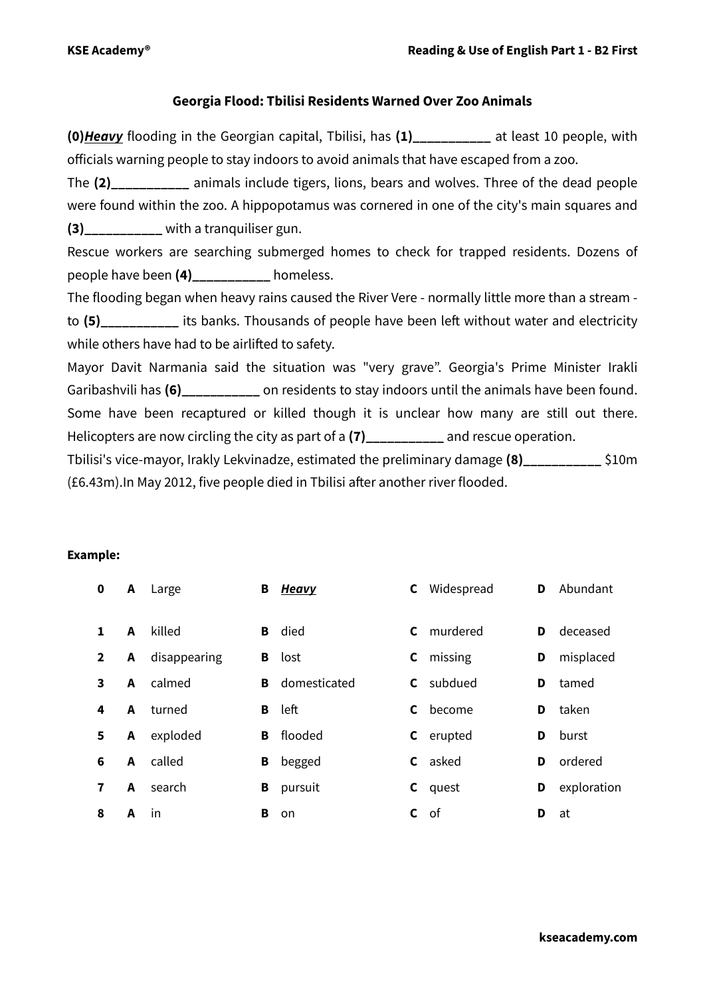## **Georgia Flood: Tbilisi Residents Warned Over Zoo Animals**

**(0)***Heavy* flooding in the Georgian capital, Tbilisi, has **(1)\_\_\_\_\_\_\_\_\_\_\_** at least 10 people, with officials warning people to stay indoors to avoid animals that have escaped from a zoo.

The **(2)\_\_\_\_\_\_\_\_\_\_\_** animals include tigers, lions, bears and wolves. Three of the dead people were found within the zoo. A hippopotamus was cornered in one of the city's main squares and **(3)** with a tranquiliser gun.

Rescue workers are searching submerged homes to check for trapped residents. Dozens of people have been **(4)\_\_\_\_\_\_\_\_\_\_\_** homeless.

The flooding began when heavy rains caused the River Vere - normally little more than a stream to **(5)\_\_\_\_\_\_\_\_\_\_\_** its banks. Thousands of people have been left without water and electricity while others have had to be airlifted to safety.

Mayor Davit Narmania said the situation was "very grave". Georgia's Prime Minister Irakli Garibashvili has (6) on residents to stay indoors until the animals have been found. Some have been recaptured or killed though it is unclear how many are still out there. Helicopters are now circling the city as part of a **(7)\_\_\_\_\_\_\_\_\_\_\_** and rescue operation.

Tbilisi's vice-mayor, Irakly Lekvinadze, estimated the preliminary damage **(8)\_\_\_\_\_\_\_\_\_\_\_** \$10m (£6.43m).In May 2012, five people died in Tbilisi after another river flooded.

## **Example:**

| $\mathbf 0$             | A | Large        | в | Heavy        | C  | Widespread     | D | Abundant    |
|-------------------------|---|--------------|---|--------------|----|----------------|---|-------------|
| 1                       | A | killed       | В | died         | C  | murdered       | D | deceased    |
| $\overline{2}$          | A | disappearing | В | lost         | C  | missing        | D | misplaced   |
| $\overline{\mathbf{3}}$ | A | calmed       | в | domesticated | C. | subdued        | D | tamed       |
| 4                       | A | turned       | в | left         | C  | become         | D | taken       |
| 5                       | A | exploded     | В | flooded      | C  | erupted        | D | burst       |
| 6                       | A | called       | в | begged       |    | <b>C</b> asked | D | ordered     |
| 7                       | A | search       | В | pursuit      |    | <b>C</b> quest | D | exploration |
| 8                       | A | in           | в | <b>on</b>    | C  | of             | D | at          |